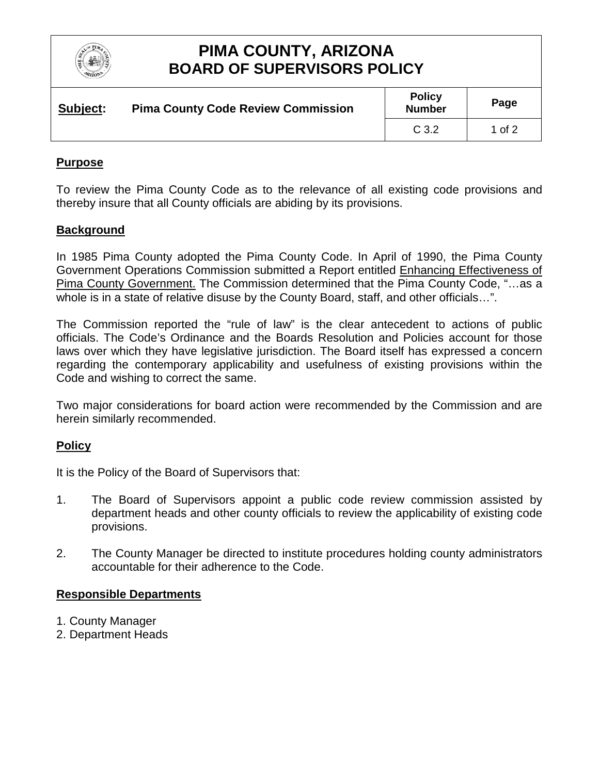

## **PIMA COUNTY, ARIZONA BOARD OF SUPERVISORS POLICY**

| Subject: | <b>Pima County Code Review Commission</b> | <b>Policy</b><br><b>Number</b> | Page   |
|----------|-------------------------------------------|--------------------------------|--------|
|          |                                           | C 3.2                          | 1 of 2 |

#### **Purpose**

To review the Pima County Code as to the relevance of all existing code provisions and thereby insure that all County officials are abiding by its provisions.

#### **Background**

In 1985 Pima County adopted the Pima County Code. In April of 1990, the Pima County Government Operations Commission submitted a Report entitled Enhancing Effectiveness of Pima County Government. The Commission determined that the Pima County Code, "…as a whole is in a state of relative disuse by the County Board, staff, and other officials…".

The Commission reported the "rule of law" is the clear antecedent to actions of public officials. The Code's Ordinance and the Boards Resolution and Policies account for those laws over which they have legislative jurisdiction. The Board itself has expressed a concern regarding the contemporary applicability and usefulness of existing provisions within the Code and wishing to correct the same.

Two major considerations for board action were recommended by the Commission and are herein similarly recommended.

#### **Policy**

It is the Policy of the Board of Supervisors that:

- 1. The Board of Supervisors appoint a public code review commission assisted by department heads and other county officials to review the applicability of existing code provisions.
- 2. The County Manager be directed to institute procedures holding county administrators accountable for their adherence to the Code.

#### **Responsible Departments**

- 1. County Manager
- 2. Department Heads